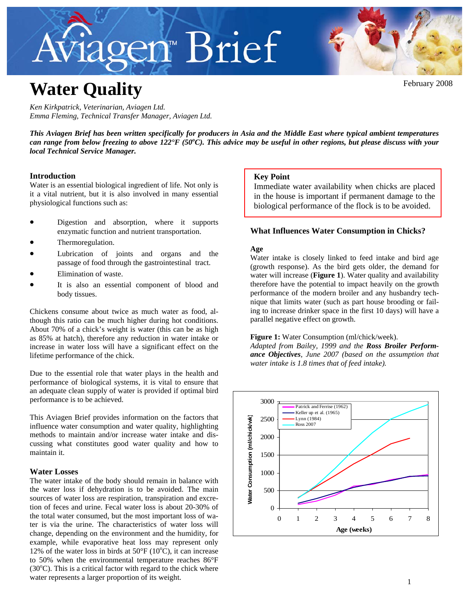# Aviagen™ Brief



February 2008

# **Water Quality**

*Ken Kirkpatrick, Veterinarian, Aviagen Ltd. Emma Fleming, Technical Transfer Manager, Aviagen Ltd.* 

*This Aviagen Brief has been written specifically for producers in Asia and the Middle East where typical ambient temperatures*  can range from below freezing to above 122°F (50°C). This advice may be useful in other regions, but please discuss with your *local Technical Service Manager.* 

# **Introduction**

Water is an essential biological ingredient of life. Not only is it a vital nutrient, but it is also involved in many essential physiological functions such as:

- Digestion and absorption, where it supports enzymatic function and nutrient transportation.
- Thermoregulation.
- Lubrication of joints and organs and the passage of food through the gastrointestinal tract.
- Elimination of waste.
- It is also an essential component of blood and body tissues.

Chickens consume about twice as much water as food, although this ratio can be much higher during hot conditions. About 70% of a chick's weight is water (this can be as high as 85% at hatch), therefore any reduction in water intake or increase in water loss will have a significant effect on the lifetime performance of the chick.

Due to the essential role that water plays in the health and performance of biological systems, it is vital to ensure that an adequate clean supply of water is provided if optimal bird performance is to be achieved.

This Aviagen Brief provides information on the factors that influence water consumption and water quality, highlighting methods to maintain and/or increase water intake and discussing what constitutes good water quality and how to maintain it.

# **Water Losses**

The water intake of the body should remain in balance with the water loss if dehydration is to be avoided. The main sources of water loss are respiration, transpiration and excretion of feces and urine. Fecal water loss is about 20-30% of the total water consumed, but the most important loss of water is via the urine. The characteristics of water loss will change, depending on the environment and the humidity, for example, while evaporative heat loss may represent only 12% of the water loss in birds at  $50^{\circ}$ F (10 $^{\circ}$ C), it can increase to 50% when the environmental temperature reaches 86°F  $(30^{\circ}$ C). This is a critical factor with regard to the chick where water represents a larger proportion of its weight.

# **Key Point**

Immediate water availability when chicks are placed in the house is important if permanent damage to the biological performance of the flock is to be avoided.

# **What Influences Water Consumption in Chicks?**

# **Age**

Water intake is closely linked to feed intake and bird age (growth response). As the bird gets older, the demand for water will increase (**Figure 1**). Water quality and availability therefore have the potential to impact heavily on the growth performance of the modern broiler and any husbandry technique that limits water (such as part house brooding or failing to increase drinker space in the first 10 days) will have a parallel negative effect on growth.

### **Figure 1:** Water Consumption (ml/chick/week).

*Adapted from Bailey, 1999 and the Ross Broiler Performance Objectives, June 2007 (based on the assumption that water intake is 1.8 times that of feed intake).* 

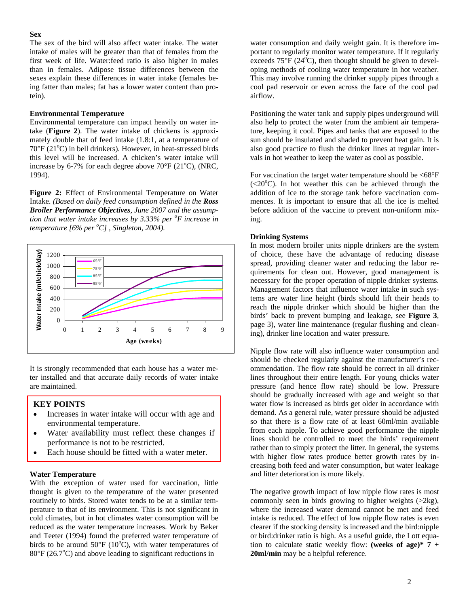#### **Sex**

The sex of the bird will also affect water intake. The water intake of males will be greater than that of females from the first week of life. Water:feed ratio is also higher in males than in females. Adipose tissue differences between the sexes explain these differences in water intake (females being fatter than males; fat has a lower water content than protein).

### **Environmental Temperature**

Environmental temperature can impact heavily on water intake (**Figure 2**). The water intake of chickens is approximately double that of feed intake (1.8:1, at a temperature of 70°F (21°C) in bell drinkers). However, in heat-stressed birds this level will be increased. A chicken's water intake will increase by 6-7% for each degree above  $70^{\circ}$ F ( $21^{\circ}$ C), (NRC, 1994).

**Figure 2:** Effect of Environmental Temperature on Water Intake. *(Based on daily feed consumption defined in the Ross Broiler Performance Objectives, June 2007 and the assumption that water intake increases by 3.33% per <sup>o</sup> F increase in temperature [6% per <sup>o</sup> C] , Singleton, 2004).* 



It is strongly recommended that each house has a water meter installed and that accurate daily records of water intake are maintained.

#### **KEY POINTS**

- Increases in water intake will occur with age and environmental temperature.
- Water availability must reflect these changes if performance is not to be restricted.
- Each house should be fitted with a water meter.

#### **Water Temperature**

With the exception of water used for vaccination, little thought is given to the temperature of the water presented routinely to birds. Stored water tends to be at a similar temperature to that of its environment. This is not significant in cold climates, but in hot climates water consumption will be reduced as the water temperature increases. Work by Beker and Teeter (1994) found the preferred water temperature of birds to be around  $50^{\circ}F(10^{\circ}C)$ , with water temperatures of 80°F (26.7°C) and above leading to significant reductions in

water consumption and daily weight gain. It is therefore important to regularly monitor water temperature. If it regularly exceeds  $75^{\circ}F(24^{\circ}C)$ , then thought should be given to developing methods of cooling water temperature in hot weather. This may involve running the drinker supply pipes through a cool pad reservoir or even across the face of the cool pad airflow.

Positioning the water tank and supply pipes underground will also help to protect the water from the ambient air temperature, keeping it cool. Pipes and tanks that are exposed to the sun should be insulated and shaded to prevent heat gain. It is also good practice to flush the drinker lines at regular intervals in hot weather to keep the water as cool as possible.

For vaccination the target water temperature should be  $\leq 68^{\circ}$ F  $(<20$ <sup>o</sup>C). In hot weather this can be achieved through theaddition of ice to the storage tank before vaccination commences. It is important to ensure that all the ice is melted before addition of the vaccine to prevent non-uniform mixing.

#### **Drinking Systems**

In most modern broiler units nipple drinkers are the system of choice, these have the advantage of reducing disease spread, providing cleaner water and reducing the labor requirements for clean out. However, good management is necessary for the proper operation of nipple drinker systems. Management factors that influence water intake in such systems are water line height (birds should lift their heads to reach the nipple drinker which should be higher than the birds' back to prevent bumping and leakage, see **Figure 3**, page 3), water line maintenance (regular flushing and cleaning), drinker line location and water pressure.

Nipple flow rate will also influence water consumption and should be checked regularly against the manufacturer's recommendation. The flow rate should be correct in all drinker lines throughout their entire length. For young chicks water pressure (and hence flow rate) should be low. Pressure should be gradually increased with age and weight so that water flow is increased as birds get older in accordance with demand. As a general rule, water pressure should be adjusted so that there is a flow rate of at least 60ml/min available from each nipple. To achieve good performance the nipple lines should be controlled to meet the birds' requirement rather than to simply protect the litter. In general, the systems with higher flow rates produce better growth rates by increasing both feed and water consumption, but water leakage and litter deterioration is more likely.

The negative growth impact of low nipple flow rates is most commonly seen in birds growing to higher weights (>2kg), where the increased water demand cannot be met and feed intake is reduced. The effect of low nipple flow rates is even clearer if the stocking density is increased and the bird:nipple or bird:drinker ratio is high. As a useful guide, the Lott equation to calculate static weekly flow: **(weeks of age)\* 7 + 20ml/min** may be a helpful reference.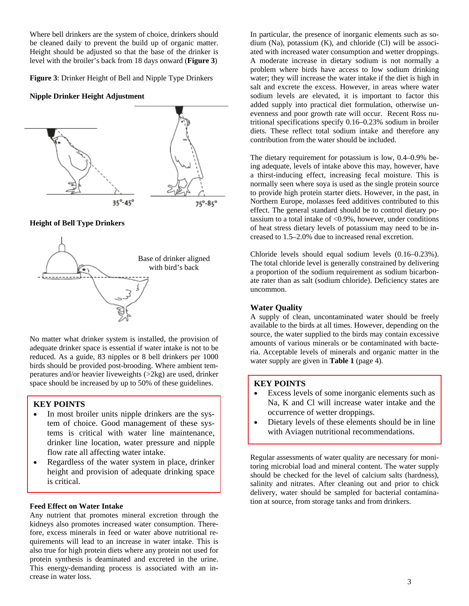Where bell drinkers are the system of choice, drinkers should be cleaned daily to prevent the build up of organic matter. Height should be adjusted so that the base of the drinker is level with the broiler's back from 18 days onward (**Figure 3**)

**Figure 3**: Drinker Height of Bell and Nipple Type Drinkers

#### **Nipple Drinker Height Adjustment**



**Height of Bell Type Drinkers** 



No matter what drinker system is installed, the provision of adequate drinker space is essential if water intake is not to be reduced. As a guide, 83 nipples or 8 bell drinkers per 1000 birds should be provided post-brooding. Where ambient temperatures and/or heavier liveweights (>2kg) are used, drinker space should be increased by up to 50% of these guidelines.

# **KEY POINTS**

- In most broiler units nipple drinkers are the system of choice. Good management of these systems is critical with water line maintenance, drinker line location, water pressure and nipple flow rate all affecting water intake.
- Regardless of the water system in place, drinker height and provision of adequate drinking space is critical.

#### **Feed Effect on Water Intake**

Any nutrient that promotes mineral excretion through the kidneys also promotes increased water consumption. Therefore, excess minerals in feed or water above nutritional requirements will lead to an increase in water intake. This is also true for high protein diets where any protein not used for protein synthesis is deaminated and excreted in the urine. This energy-demanding process is associated with an increase in water loss.

In particular, the presence of inorganic elements such as sodium (Na), potassium (K), and chloride (Cl) will be associated with increased water consumption and wetter droppings. A moderate increase in dietary sodium is not normally a problem where birds have access to low sodium drinking water; they will increase the water intake if the diet is high in salt and excrete the excess. However, in areas where water sodium levels are elevated, it is important to factor this added supply into practical diet formulation, otherwise unevenness and poor growth rate will occur. Recent Ross nutritional specifications specify 0.16–0.23% sodium in broiler diets. These reflect total sodium intake and therefore any contribution from the water should be included.

The dietary requirement for potassium is low, 0.4–0.9% being adequate, levels of intake above this may, however, have a thirst-inducing effect, increasing fecal moisture. This is normally seen where soya is used as the single protein source to provide high protein starter diets. However, in the past, in Northern Europe, molasses feed additives contributed to this effect. The general standard should be to control dietary potassium to a total intake of <0.9%, however, under conditions of heat stress dietary levels of potassium may need to be increased to 1.5–2.0% due to increased renal excretion.

Chloride levels should equal sodium levels (0.16–0.23%). The total chloride level is generally constrained by delivering a proportion of the sodium requirement as sodium bicarbonate rater than as salt (sodium chloride). Deficiency states are uncommon.

#### **Water Quality**

A supply of clean, uncontaminated water should be freely available to the birds at all times. However, depending on the source, the water supplied to the birds may contain excessive amounts of various minerals or be contaminated with bacteria. Acceptable levels of minerals and organic matter in the water supply are given in **Table 1** (page 4).

# **KEY POINTS**

- Excess levels of some inorganic elements such as Na, K and Cl will increase water intake and the occurrence of wetter droppings.
- Dietary levels of these elements should be in line with Aviagen nutritional recommendations.

Regular assessments of water quality are necessary for monitoring microbial load and mineral content. The water supply should be checked for the level of calcium salts (hardness), salinity and nitrates. After cleaning out and prior to chick delivery, water should be sampled for bacterial contamination at source, from storage tanks and from drinkers.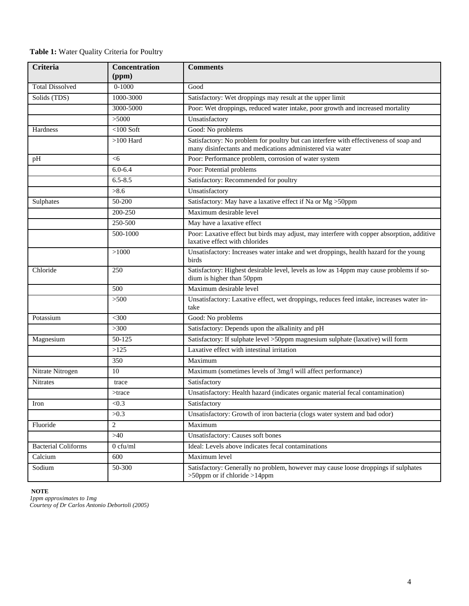| Table 1: Water Quality Criteria for Poultry |  |
|---------------------------------------------|--|
|---------------------------------------------|--|

| Criteria                   | Concentration<br>(ppm) | <b>Comments</b>                                                                                                                                    |  |  |
|----------------------------|------------------------|----------------------------------------------------------------------------------------------------------------------------------------------------|--|--|
| <b>Total Dissolved</b>     | $0 - 1000$             | Good                                                                                                                                               |  |  |
| Solids (TDS)               | 1000-3000              | Satisfactory: Wet droppings may result at the upper limit                                                                                          |  |  |
|                            | 3000-5000              | Poor: Wet droppings, reduced water intake, poor growth and increased mortality                                                                     |  |  |
|                            | >5000                  | Unsatisfactory                                                                                                                                     |  |  |
| Hardness                   | $<$ 100 Soft           | Good: No problems                                                                                                                                  |  |  |
|                            | $>100$ Hard            | Satisfactory: No problem for poultry but can interfere with effectiveness of soap and<br>many disinfectants and medications administered via water |  |  |
| pH                         | $<$ 6                  | Poor: Performance problem, corrosion of water system                                                                                               |  |  |
|                            | $6.0 - 6.4$            | Poor: Potential problems                                                                                                                           |  |  |
|                            | $6.5 - 8.5$            | Satisfactory: Recommended for poultry                                                                                                              |  |  |
|                            | >8.6                   | Unsatisfactory                                                                                                                                     |  |  |
| Sulphates                  | 50-200                 | Satisfactory: May have a laxative effect if Na or Mg >50ppm                                                                                        |  |  |
|                            | 200-250                | Maximum desirable level                                                                                                                            |  |  |
|                            | 250-500                | May have a laxative effect                                                                                                                         |  |  |
|                            | 500-1000               | Poor: Laxative effect but birds may adjust, may interfere with copper absorption, additive<br>laxative effect with chlorides                       |  |  |
|                            | >1000                  | Unsatisfactory: Increases water intake and wet droppings, health hazard for the young<br>birds                                                     |  |  |
| Chloride                   | 250                    | Satisfactory: Highest desirable level, levels as low as 14ppm may cause problems if so-<br>dium is higher than 50ppm                               |  |  |
|                            | 500                    | Maximum desirable level                                                                                                                            |  |  |
|                            | >500                   | Unsatisfactory: Laxative effect, wet droppings, reduces feed intake, increases water in-<br>take                                                   |  |  |
| Potassium                  | $<$ 300                | Good: No problems                                                                                                                                  |  |  |
|                            | >300                   | Satisfactory: Depends upon the alkalinity and pH                                                                                                   |  |  |
| Magnesium                  | 50-125                 | Satisfactory: If sulphate level >50ppm magnesium sulphate (laxative) will form                                                                     |  |  |
|                            | >125                   | Laxative effect with intestinal irritation                                                                                                         |  |  |
|                            | 350                    | Maximum                                                                                                                                            |  |  |
| Nitrate Nitrogen           | 10                     | Maximum (sometimes levels of 3mg/l will affect performance)                                                                                        |  |  |
| Nitrates                   | trace                  | Satisfactory                                                                                                                                       |  |  |
|                            | $>$ trace              | Unsatisfactory: Health hazard (indicates organic material fecal contamination)                                                                     |  |  |
| Iron                       | < 0.3                  | Satisfactory                                                                                                                                       |  |  |
|                            | >0.3                   | Unsatisfactory: Growth of iron bacteria (clogs water system and bad odor)                                                                          |  |  |
| Fluoride                   | $\overline{2}$         | Maximum                                                                                                                                            |  |  |
|                            | >40                    | Unsatisfactory: Causes soft bones                                                                                                                  |  |  |
| <b>Bacterial Coliforms</b> | $0$ cfu/ml             | Ideal: Levels above indicates fecal contaminations                                                                                                 |  |  |
| Calcium                    | 600                    | Maximum level                                                                                                                                      |  |  |
| Sodium                     | 50-300                 | Satisfactory: Generally no problem, however may cause loose droppings if sulphates<br>$>50$ ppm or if chloride $>14$ ppm                           |  |  |

#### **NOTE**

*1ppm approximates to 1mg Courtesy of Dr Carlos Antonio Debortoli (2005)*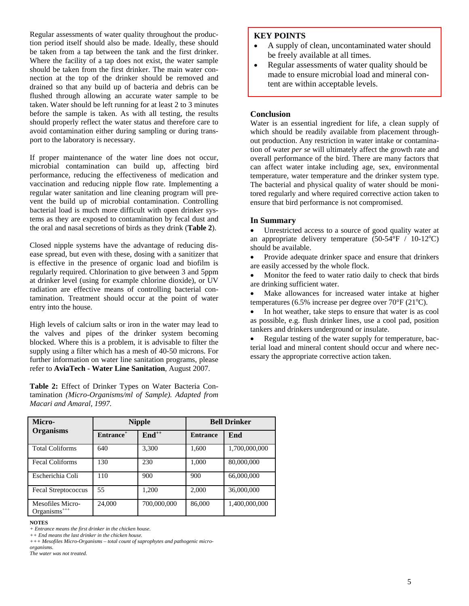Regular assessments of water quality throughout the production period itself should also be made. Ideally, these should be taken from a tap between the tank and the first drinker. Where the facility of a tap does not exist, the water sample should be taken from the first drinker. The main water connection at the top of the drinker should be removed and drained so that any build up of bacteria and debris can be flushed through allowing an accurate water sample to be taken. Water should be left running for at least 2 to 3 minutes before the sample is taken. As with all testing, the results should properly reflect the water status and therefore care to avoid contamination either during sampling or during transport to the laboratory is necessary.

If proper maintenance of the water line does not occur, microbial contamination can build up, affecting bird performance, reducing the effectiveness of medication and vaccination and reducing nipple flow rate. Implementing a regular water sanitation and line cleaning program will prevent the build up of microbial contamination. Controlling bacterial load is much more difficult with open drinker systems as they are exposed to contamination by fecal dust and the oral and nasal secretions of birds as they drink (**Table 2**).

Closed nipple systems have the advantage of reducing disease spread, but even with these, dosing with a sanitizer that is effective in the presence of organic load and biofilm is regularly required. Chlorination to give between 3 and 5ppm at drinker level (using for example chlorine dioxide), or UV radiation are effective means of controlling bacterial contamination. Treatment should occur at the point of water entry into the house.

High levels of calcium salts or iron in the water may lead to the valves and pipes of the drinker system becoming blocked. Where this is a problem, it is advisable to filter the supply using a filter which has a mesh of 40-50 microns. For further information on water line sanitation programs, please refer to **AviaTech - Water Line Sanitation**, August 2007.

**Table 2:** Effect of Drinker Types on Water Bacteria Contamination *(Micro-Organisms/ml of Sample). Adapted from Macari and Amaral, 1997.* 

# **KEY POINTS**

- A supply of clean, uncontaminated water should be freely available at all times.
- Regular assessments of water quality should be made to ensure microbial load and mineral content are within acceptable levels.

#### **Conclusion**

Water is an essential ingredient for life, a clean supply of which should be readily available from placement throughout production. Any restriction in water intake or contamination of water *per se* will ultimately affect the growth rate and overall performance of the bird. There are many factors that can affect water intake including age, sex, environmental temperature, water temperature and the drinker system type. The bacterial and physical quality of water should be monitored regularly and where required corrective action taken to ensure that bird performance is not compromised.

### **In Summary**

• Unrestricted access to a source of good quality water at an appropriate delivery temperature  $(50-54\text{°F} / 10-12\text{°C})$ should be available.

• Provide adequate drinker space and ensure that drinkers are easily accessed by the whole flock.

• Monitor the feed to water ratio daily to check that birds are drinking sufficient water.

Make allowances for increased water intake at higher temperatures (6.5% increase per degree over  $70^{\circ}$ F (21 $^{\circ}$ C).

• In hot weather, take steps to ensure that water is as cool as possible, e.g. flush drinker lines, use a cool pad, position tankers and drinkers underground or insulate.

Regular testing of the water supply for temperature, bacterial load and mineral content should occur and where necessary the appropriate corrective action taken.

**NOTES**  *+ Entrance means the first drinker in the chicken house.* 

*++ End means the last drinker in the chicken house.* 

*The water was not treated.* 

| Micro-                                       | <b>Nipple</b>         |                   | <b>Bell Drinker</b> |               |
|----------------------------------------------|-----------------------|-------------------|---------------------|---------------|
| <b>Organisms</b>                             | Entrance <sup>+</sup> | $\text{End}^{++}$ | <b>Entrance</b>     | End           |
| <b>Total Coliforms</b>                       | 640                   | 3,300             | 1,600               | 1,700,000,000 |
| <b>Fecal Coliforms</b>                       | 130                   | 230               | 1,000               | 80,000,000    |
| Escherichia Coli                             | 110                   | 900               | 900                 | 66,000,000    |
| Fecal Streptococcus                          | 55                    | 1,200             | 2,000               | 36,000,000    |
| Mesofiles Micro-<br>Organisms <sup>+++</sup> | 24,000                | 700,000,000       | 86,000              | 1,400,000,000 |

*<sup>+++</sup> Mesofiles Micro-Organisms – total count of saprophytes and pathogenic microorganisms.*